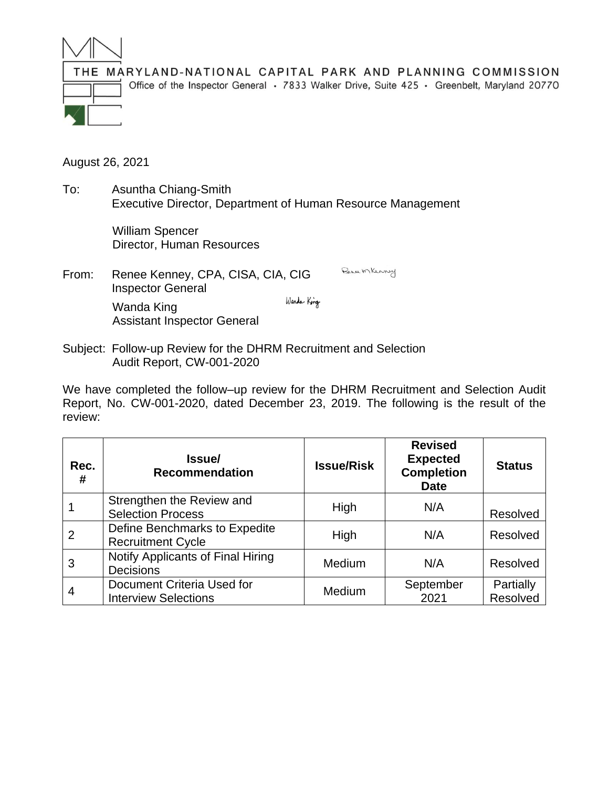

THE MARYLAND-NATIONAL CAPITAL PARK AND PLANNING COMMISSION Office of the Inspector General · 7833 Walker Drive, Suite 425 · Greenbelt, Maryland 20770

August 26, 2021

To: Asuntha Chiang-Smith Executive Director, Department of Human Resource Management

> William Spencer Director, Human Resources

- Bence Mkenney From: Renee Kenney, CPA, CISA, CIA, CIG Inspector General Wanda King Wanda King Assistant Inspector General
- Subject: Follow-up Review for the DHRM Recruitment and Selection Audit Report, CW-001-2020

We have completed the follow–up review for the DHRM Recruitment and Selection Audit Report, No. CW-001-2020, dated December 23, 2019. The following is the result of the review:

| Rec.<br>#      | Issue/<br><b>Recommendation</b>                           | <b>Issue/Risk</b> | <b>Revised</b><br><b>Expected</b><br><b>Completion</b><br><b>Date</b> | <b>Status</b>         |
|----------------|-----------------------------------------------------------|-------------------|-----------------------------------------------------------------------|-----------------------|
|                | Strengthen the Review and<br><b>Selection Process</b>     | High              | N/A                                                                   | Resolved              |
| $\overline{2}$ | Define Benchmarks to Expedite<br><b>Recruitment Cycle</b> | High              | N/A                                                                   | Resolved              |
| 3              | Notify Applicants of Final Hiring<br><b>Decisions</b>     | <b>Medium</b>     | N/A                                                                   | Resolved              |
|                | Document Criteria Used for<br><b>Interview Selections</b> | Medium            | September<br>2021                                                     | Partially<br>Resolved |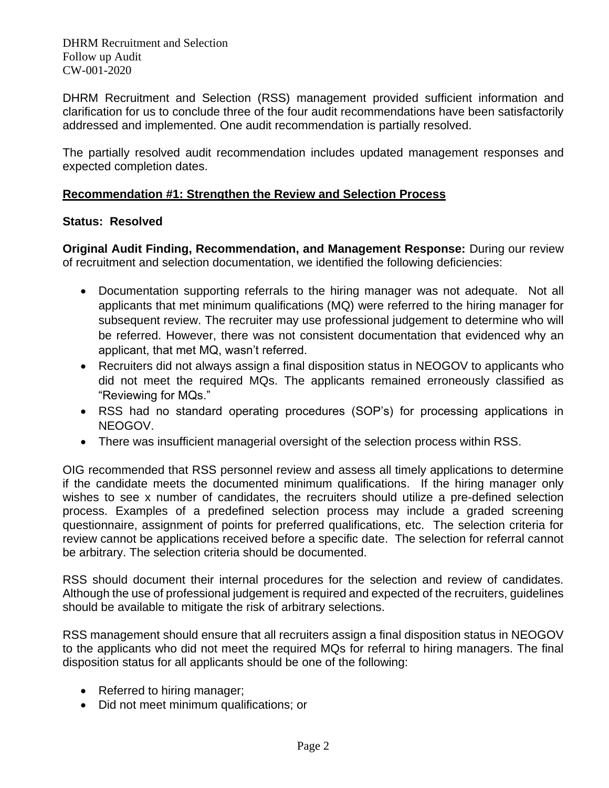DHRM Recruitment and Selection (RSS) management provided sufficient information and clarification for us to conclude three of the four audit recommendations have been satisfactorily addressed and implemented. One audit recommendation is partially resolved.

The partially resolved audit recommendation includes updated management responses and expected completion dates.

## **Recommendation #1: Strengthen the Review and Selection Process**

# **Status: Resolved**

**Original Audit Finding, Recommendation, and Management Response:** During our review of recruitment and selection documentation, we identified the following deficiencies:

- Documentation supporting referrals to the hiring manager was not adequate. Not all applicants that met minimum qualifications (MQ) were referred to the hiring manager for subsequent review. The recruiter may use professional judgement to determine who will be referred. However, there was not consistent documentation that evidenced why an applicant, that met MQ, wasn't referred.
- Recruiters did not always assign a final disposition status in NEOGOV to applicants who did not meet the required MQs. The applicants remained erroneously classified as "Reviewing for MQs."
- RSS had no standard operating procedures (SOP's) for processing applications in NEOGOV.
- There was insufficient managerial oversight of the selection process within RSS.

OIG recommended that RSS personnel review and assess all timely applications to determine if the candidate meets the documented minimum qualifications. If the hiring manager only wishes to see x number of candidates, the recruiters should utilize a pre-defined selection process. Examples of a predefined selection process may include a graded screening questionnaire, assignment of points for preferred qualifications, etc. The selection criteria for review cannot be applications received before a specific date. The selection for referral cannot be arbitrary. The selection criteria should be documented.

RSS should document their internal procedures for the selection and review of candidates. Although the use of professional judgement is required and expected of the recruiters, guidelines should be available to mitigate the risk of arbitrary selections.

RSS management should ensure that all recruiters assign a final disposition status in NEOGOV to the applicants who did not meet the required MQs for referral to hiring managers. The final disposition status for all applicants should be one of the following:

- Referred to hiring manager;
- Did not meet minimum qualifications; or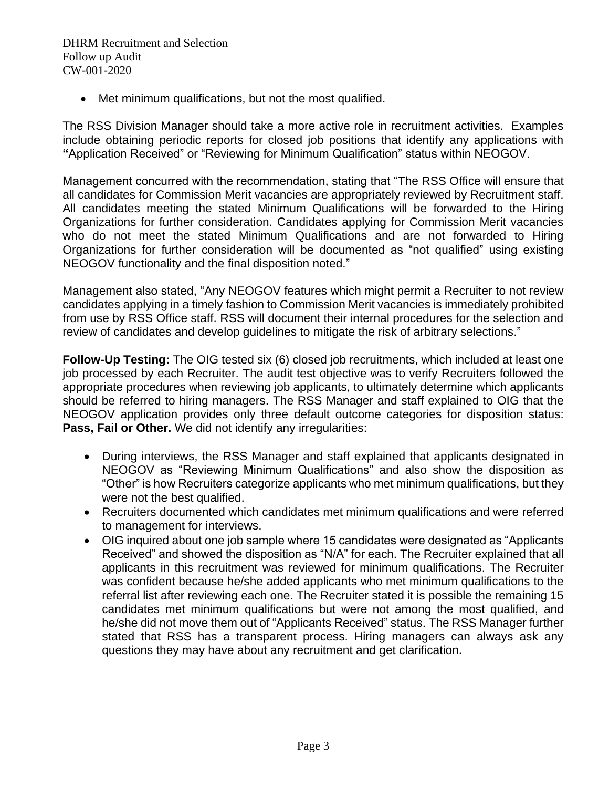• Met minimum qualifications, but not the most qualified.

The RSS Division Manager should take a more active role in recruitment activities. Examples include obtaining periodic reports for closed job positions that identify any applications with **"**Application Received" or "Reviewing for Minimum Qualification" status within NEOGOV.

Management concurred with the recommendation, stating that "The RSS Office will ensure that all candidates for Commission Merit vacancies are appropriately reviewed by Recruitment staff. All candidates meeting the stated Minimum Qualifications will be forwarded to the Hiring Organizations for further consideration. Candidates applying for Commission Merit vacancies who do not meet the stated Minimum Qualifications and are not forwarded to Hiring Organizations for further consideration will be documented as "not qualified" using existing NEOGOV functionality and the final disposition noted."

Management also stated, "Any NEOGOV features which might permit a Recruiter to not review candidates applying in a timely fashion to Commission Merit vacancies is immediately prohibited from use by RSS Office staff. RSS will document their internal procedures for the selection and review of candidates and develop guidelines to mitigate the risk of arbitrary selections."

**Follow-Up Testing:** The OIG tested six (6) closed job recruitments, which included at least one job processed by each Recruiter. The audit test objective was to verify Recruiters followed the appropriate procedures when reviewing job applicants, to ultimately determine which applicants should be referred to hiring managers. The RSS Manager and staff explained to OIG that the NEOGOV application provides only three default outcome categories for disposition status: **Pass, Fail or Other.** We did not identify any irregularities:

- During interviews, the RSS Manager and staff explained that applicants designated in NEOGOV as "Reviewing Minimum Qualifications" and also show the disposition as "Other" is how Recruiters categorize applicants who met minimum qualifications, but they were not the best qualified.
- Recruiters documented which candidates met minimum qualifications and were referred to management for interviews.
- OIG inquired about one job sample where 15 candidates were designated as "Applicants Received" and showed the disposition as "N/A" for each. The Recruiter explained that all applicants in this recruitment was reviewed for minimum qualifications. The Recruiter was confident because he/she added applicants who met minimum qualifications to the referral list after reviewing each one. The Recruiter stated it is possible the remaining 15 candidates met minimum qualifications but were not among the most qualified, and he/she did not move them out of "Applicants Received" status. The RSS Manager further stated that RSS has a transparent process. Hiring managers can always ask any questions they may have about any recruitment and get clarification.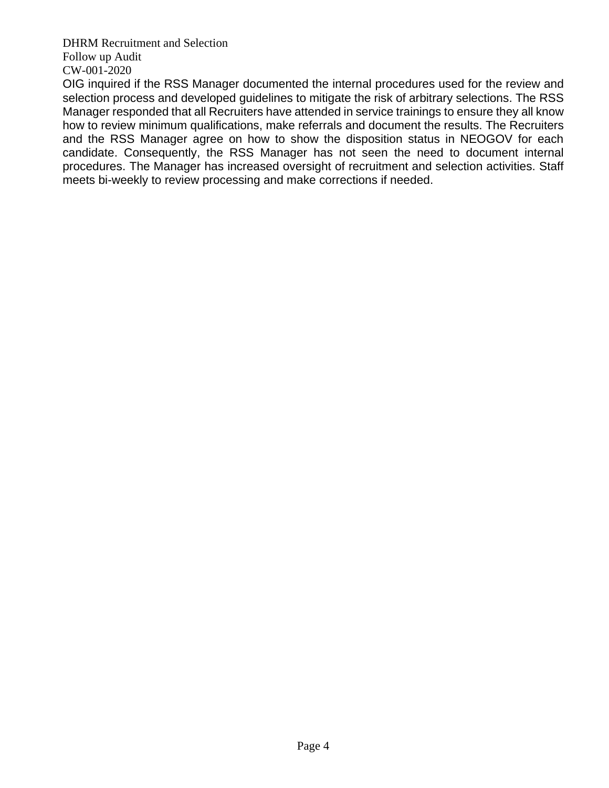OIG inquired if the RSS Manager documented the internal procedures used for the review and selection process and developed guidelines to mitigate the risk of arbitrary selections. The RSS Manager responded that all Recruiters have attended in service trainings to ensure they all know how to review minimum qualifications, make referrals and document the results. The Recruiters and the RSS Manager agree on how to show the disposition status in NEOGOV for each candidate. Consequently, the RSS Manager has not seen the need to document internal procedures. The Manager has increased oversight of recruitment and selection activities. Staff meets bi-weekly to review processing and make corrections if needed.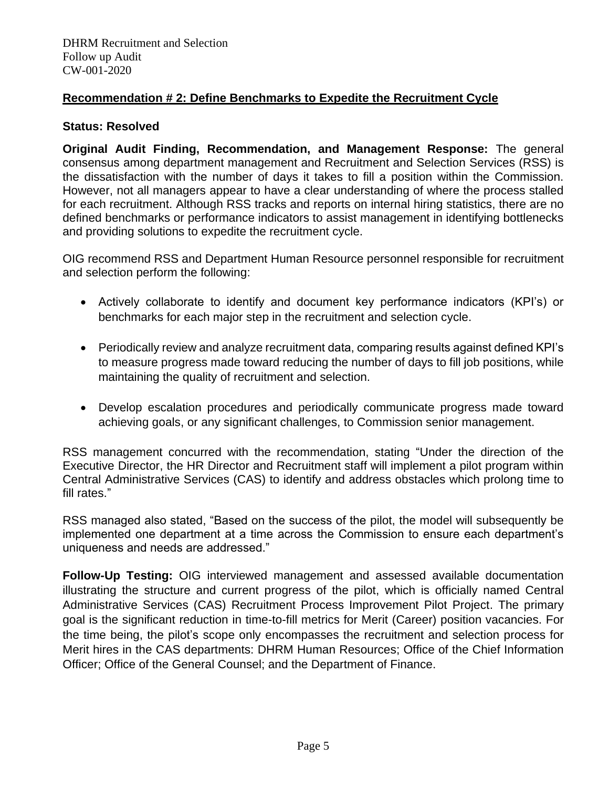# **Recommendation # 2: Define Benchmarks to Expedite the Recruitment Cycle**

### **Status: Resolved**

**Original Audit Finding, Recommendation, and Management Response:** The general consensus among department management and Recruitment and Selection Services (RSS) is the dissatisfaction with the number of days it takes to fill a position within the Commission. However, not all managers appear to have a clear understanding of where the process stalled for each recruitment. Although RSS tracks and reports on internal hiring statistics, there are no defined benchmarks or performance indicators to assist management in identifying bottlenecks and providing solutions to expedite the recruitment cycle.

OIG recommend RSS and Department Human Resource personnel responsible for recruitment and selection perform the following:

- Actively collaborate to identify and document key performance indicators (KPI's) or benchmarks for each major step in the recruitment and selection cycle.
- Periodically review and analyze recruitment data, comparing results against defined KPI's to measure progress made toward reducing the number of days to fill job positions, while maintaining the quality of recruitment and selection.
- Develop escalation procedures and periodically communicate progress made toward achieving goals, or any significant challenges, to Commission senior management.

RSS management concurred with the recommendation, stating "Under the direction of the Executive Director, the HR Director and Recruitment staff will implement a pilot program within Central Administrative Services (CAS) to identify and address obstacles which prolong time to fill rates."

RSS managed also stated, "Based on the success of the pilot, the model will subsequently be implemented one department at a time across the Commission to ensure each department's uniqueness and needs are addressed."

**Follow-Up Testing:** OIG interviewed management and assessed available documentation illustrating the structure and current progress of the pilot, which is officially named Central Administrative Services (CAS) Recruitment Process Improvement Pilot Project. The primary goal is the significant reduction in time-to-fill metrics for Merit (Career) position vacancies. For the time being, the pilot's scope only encompasses the recruitment and selection process for Merit hires in the CAS departments: DHRM Human Resources; Office of the Chief Information Officer; Office of the General Counsel; and the Department of Finance.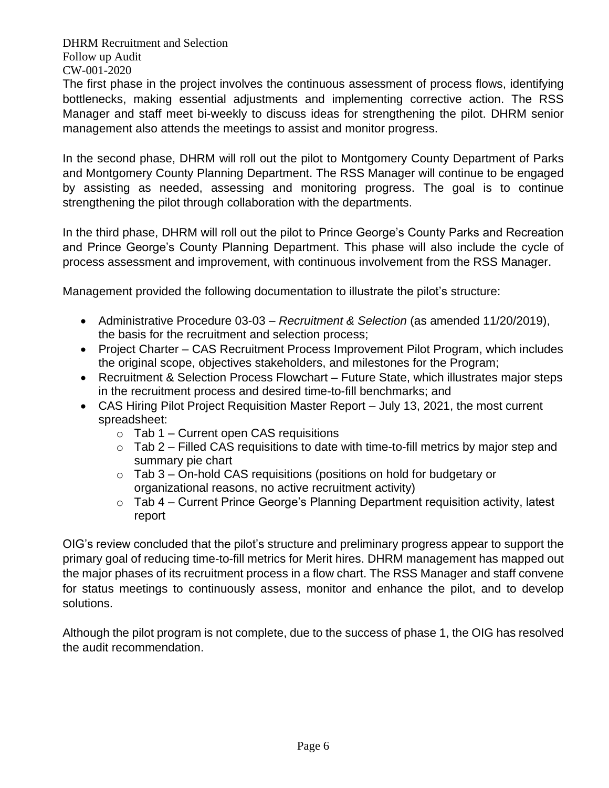The first phase in the project involves the continuous assessment of process flows, identifying bottlenecks, making essential adjustments and implementing corrective action. The RSS Manager and staff meet bi-weekly to discuss ideas for strengthening the pilot. DHRM senior management also attends the meetings to assist and monitor progress.

In the second phase, DHRM will roll out the pilot to Montgomery County Department of Parks and Montgomery County Planning Department. The RSS Manager will continue to be engaged by assisting as needed, assessing and monitoring progress. The goal is to continue strengthening the pilot through collaboration with the departments.

In the third phase, DHRM will roll out the pilot to Prince George's County Parks and Recreation and Prince George's County Planning Department. This phase will also include the cycle of process assessment and improvement, with continuous involvement from the RSS Manager.

Management provided the following documentation to illustrate the pilot's structure:

- Administrative Procedure 03-03 *Recruitment & Selection* (as amended 11/20/2019), the basis for the recruitment and selection process;
- Project Charter CAS Recruitment Process Improvement Pilot Program, which includes the original scope, objectives stakeholders, and milestones for the Program;
- Recruitment & Selection Process Flowchart Future State, which illustrates major steps in the recruitment process and desired time-to-fill benchmarks; and
- CAS Hiring Pilot Project Requisition Master Report July 13, 2021, the most current spreadsheet:
	- $\circ$  Tab 1 Current open CAS requisitions
	- $\circ$  Tab 2 Filled CAS requisitions to date with time-to-fill metrics by major step and summary pie chart
	- $\circ$  Tab 3 On-hold CAS requisitions (positions on hold for budgetary or organizational reasons, no active recruitment activity)
	- o Tab 4 Current Prince George's Planning Department requisition activity, latest report

OIG's review concluded that the pilot's structure and preliminary progress appear to support the primary goal of reducing time-to-fill metrics for Merit hires. DHRM management has mapped out the major phases of its recruitment process in a flow chart. The RSS Manager and staff convene for status meetings to continuously assess, monitor and enhance the pilot, and to develop solutions.

Although the pilot program is not complete, due to the success of phase 1, the OIG has resolved the audit recommendation.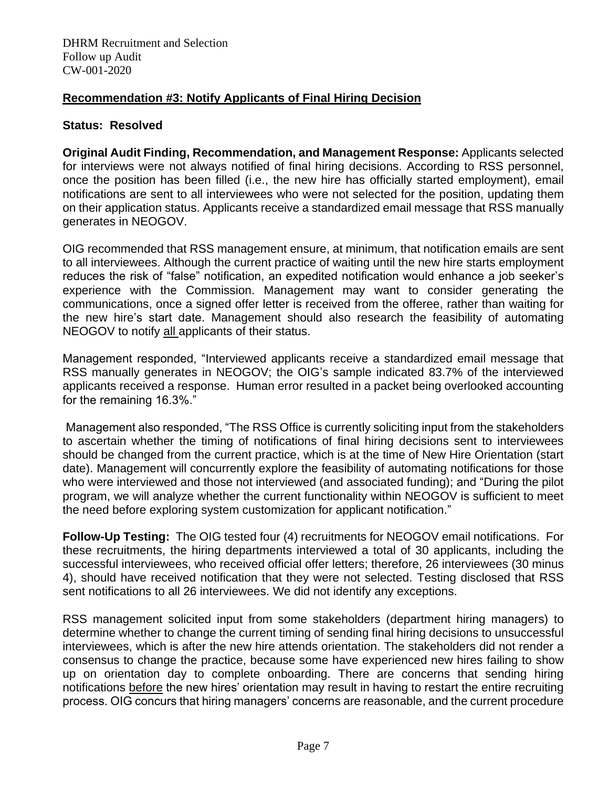# **Recommendation #3: Notify Applicants of Final Hiring Decision**

#### **Status: Resolved**

**Original Audit Finding, Recommendation, and Management Response:** Applicants selected for interviews were not always notified of final hiring decisions. According to RSS personnel, once the position has been filled (i.e., the new hire has officially started employment), email notifications are sent to all interviewees who were not selected for the position, updating them on their application status. Applicants receive a standardized email message that RSS manually generates in NEOGOV.

OIG recommended that RSS management ensure, at minimum, that notification emails are sent to all interviewees. Although the current practice of waiting until the new hire starts employment reduces the risk of "false" notification, an expedited notification would enhance a job seeker's experience with the Commission. Management may want to consider generating the communications, once a signed offer letter is received from the offeree, rather than waiting for the new hire's start date. Management should also research the feasibility of automating NEOGOV to notify all applicants of their status.

Management responded, "Interviewed applicants receive a standardized email message that RSS manually generates in NEOGOV; the OIG's sample indicated 83.7% of the interviewed applicants received a response. Human error resulted in a packet being overlooked accounting for the remaining 16.3%."

Management also responded, "The RSS Office is currently soliciting input from the stakeholders to ascertain whether the timing of notifications of final hiring decisions sent to interviewees should be changed from the current practice, which is at the time of New Hire Orientation (start date). Management will concurrently explore the feasibility of automating notifications for those who were interviewed and those not interviewed (and associated funding); and "During the pilot program, we will analyze whether the current functionality within NEOGOV is sufficient to meet the need before exploring system customization for applicant notification."

**Follow-Up Testing:** The OIG tested four (4) recruitments for NEOGOV email notifications. For these recruitments, the hiring departments interviewed a total of 30 applicants, including the successful interviewees, who received official offer letters; therefore, 26 interviewees (30 minus 4), should have received notification that they were not selected. Testing disclosed that RSS sent notifications to all 26 interviewees. We did not identify any exceptions.

RSS management solicited input from some stakeholders (department hiring managers) to determine whether to change the current timing of sending final hiring decisions to unsuccessful interviewees, which is after the new hire attends orientation. The stakeholders did not render a consensus to change the practice, because some have experienced new hires failing to show up on orientation day to complete onboarding. There are concerns that sending hiring notifications before the new hires' orientation may result in having to restart the entire recruiting process. OIG concurs that hiring managers' concerns are reasonable, and the current procedure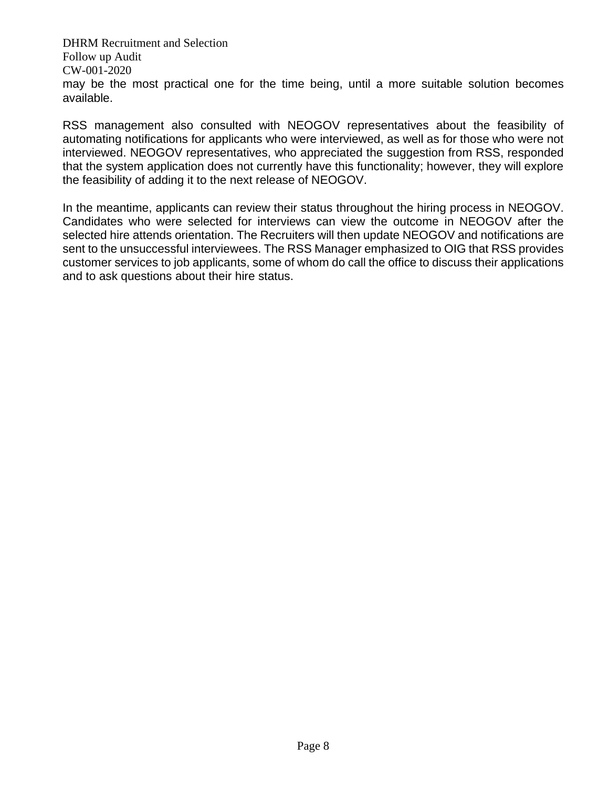DHRM Recruitment and Selection Follow up Audit CW-001-2020 may be the most practical one for the time being, until a more suitable solution becomes available.

RSS management also consulted with NEOGOV representatives about the feasibility of automating notifications for applicants who were interviewed, as well as for those who were not interviewed. NEOGOV representatives, who appreciated the suggestion from RSS, responded that the system application does not currently have this functionality; however, they will explore the feasibility of adding it to the next release of NEOGOV.

In the meantime, applicants can review their status throughout the hiring process in NEOGOV. Candidates who were selected for interviews can view the outcome in NEOGOV after the selected hire attends orientation. The Recruiters will then update NEOGOV and notifications are sent to the unsuccessful interviewees. The RSS Manager emphasized to OIG that RSS provides customer services to job applicants, some of whom do call the office to discuss their applications and to ask questions about their hire status.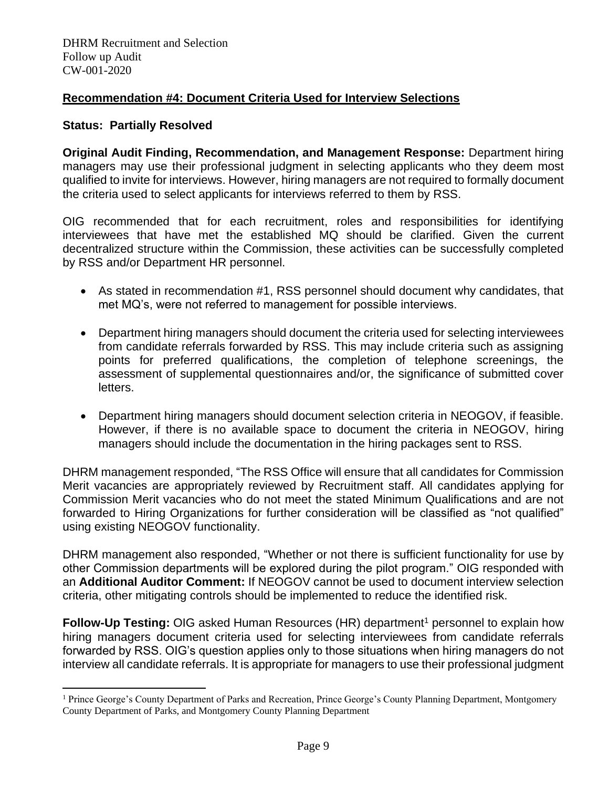## **Recommendation #4: Document Criteria Used for Interview Selections**

#### **Status: Partially Resolved**

**Original Audit Finding, Recommendation, and Management Response:** Department hiring managers may use their professional judgment in selecting applicants who they deem most qualified to invite for interviews. However, hiring managers are not required to formally document the criteria used to select applicants for interviews referred to them by RSS.

OIG recommended that for each recruitment, roles and responsibilities for identifying interviewees that have met the established MQ should be clarified. Given the current decentralized structure within the Commission, these activities can be successfully completed by RSS and/or Department HR personnel.

- As stated in recommendation #1, RSS personnel should document why candidates, that met MQ's, were not referred to management for possible interviews.
- Department hiring managers should document the criteria used for selecting interviewees from candidate referrals forwarded by RSS. This may include criteria such as assigning points for preferred qualifications, the completion of telephone screenings, the assessment of supplemental questionnaires and/or, the significance of submitted cover letters.
- Department hiring managers should document selection criteria in NEOGOV, if feasible. However, if there is no available space to document the criteria in NEOGOV, hiring managers should include the documentation in the hiring packages sent to RSS.

DHRM management responded, "The RSS Office will ensure that all candidates for Commission Merit vacancies are appropriately reviewed by Recruitment staff. All candidates applying for Commission Merit vacancies who do not meet the stated Minimum Qualifications and are not forwarded to Hiring Organizations for further consideration will be classified as "not qualified" using existing NEOGOV functionality.

DHRM management also responded, "Whether or not there is sufficient functionality for use by other Commission departments will be explored during the pilot program." OIG responded with an **Additional Auditor Comment:** If NEOGOV cannot be used to document interview selection criteria, other mitigating controls should be implemented to reduce the identified risk.

**Follow-Up Testing:** OIG asked Human Resources (HR) department<sup>1</sup> personnel to explain how hiring managers document criteria used for selecting interviewees from candidate referrals forwarded by RSS. OIG's question applies only to those situations when hiring managers do not interview all candidate referrals. It is appropriate for managers to use their professional judgment

<sup>&</sup>lt;sup>1</sup> Prince George's County Department of Parks and Recreation, Prince George's County Planning Department, Montgomery County Department of Parks, and Montgomery County Planning Department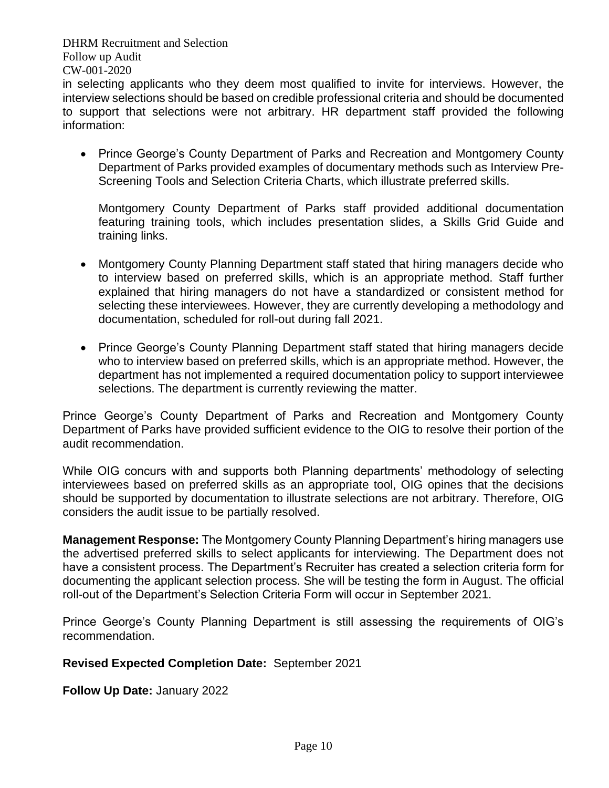in selecting applicants who they deem most qualified to invite for interviews. However, the interview selections should be based on credible professional criteria and should be documented to support that selections were not arbitrary. HR department staff provided the following information:

• Prince George's County Department of Parks and Recreation and Montgomery County Department of Parks provided examples of documentary methods such as Interview Pre-Screening Tools and Selection Criteria Charts, which illustrate preferred skills.

Montgomery County Department of Parks staff provided additional documentation featuring training tools, which includes presentation slides, a Skills Grid Guide and training links.

- Montgomery County Planning Department staff stated that hiring managers decide who to interview based on preferred skills, which is an appropriate method. Staff further explained that hiring managers do not have a standardized or consistent method for selecting these interviewees. However, they are currently developing a methodology and documentation, scheduled for roll-out during fall 2021.
- Prince George's County Planning Department staff stated that hiring managers decide who to interview based on preferred skills, which is an appropriate method. However, the department has not implemented a required documentation policy to support interviewee selections. The department is currently reviewing the matter.

Prince George's County Department of Parks and Recreation and Montgomery County Department of Parks have provided sufficient evidence to the OIG to resolve their portion of the audit recommendation.

While OIG concurs with and supports both Planning departments' methodology of selecting interviewees based on preferred skills as an appropriate tool, OIG opines that the decisions should be supported by documentation to illustrate selections are not arbitrary. Therefore, OIG considers the audit issue to be partially resolved.

**Management Response:** The Montgomery County Planning Department's hiring managers use the advertised preferred skills to select applicants for interviewing. The Department does not have a consistent process. The Department's Recruiter has created a selection criteria form for documenting the applicant selection process. She will be testing the form in August. The official roll-out of the Department's Selection Criteria Form will occur in September 2021.

Prince George's County Planning Department is still assessing the requirements of OIG's recommendation.

### **Revised Expected Completion Date:** September 2021

**Follow Up Date:** January 2022